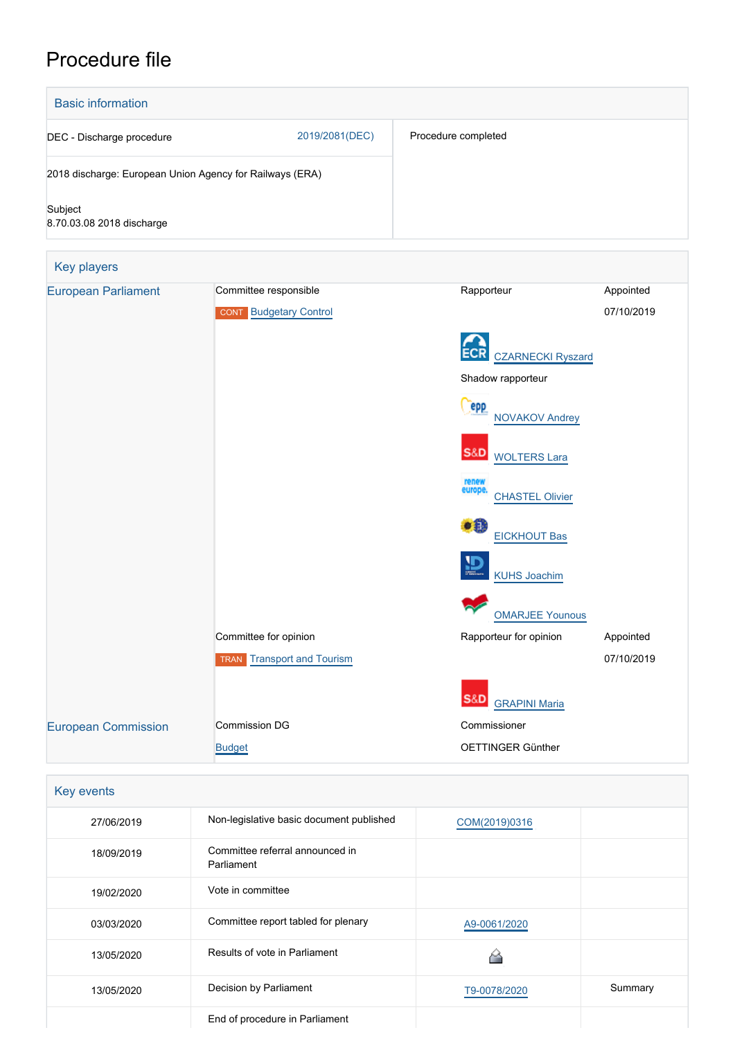# Procedure file



| Key events |                                               |               |         |
|------------|-----------------------------------------------|---------------|---------|
| 27/06/2019 | Non-legislative basic document published      | COM(2019)0316 |         |
| 18/09/2019 | Committee referral announced in<br>Parliament |               |         |
| 19/02/2020 | Vote in committee                             |               |         |
| 03/03/2020 | Committee report tabled for plenary           | A9-0061/2020  |         |
| 13/05/2020 | Results of vote in Parliament                 |               |         |
| 13/05/2020 | Decision by Parliament                        | T9-0078/2020  | Summary |
|            | End of procedure in Parliament                |               |         |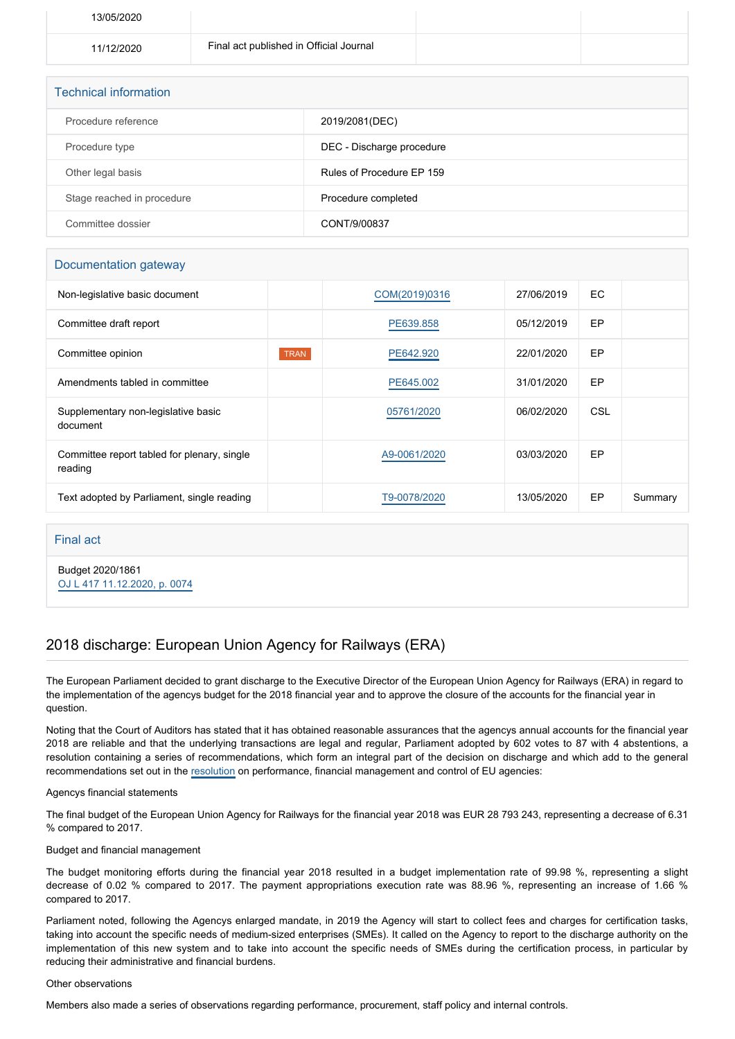| 13/05/2020 |                                         |  |
|------------|-----------------------------------------|--|
| 11/12/2020 | Final act published in Official Journal |  |
|            |                                         |  |

| <b>Technical information</b> |                           |  |  |  |
|------------------------------|---------------------------|--|--|--|
| Procedure reference          | 2019/2081(DEC)            |  |  |  |
| Procedure type               | DEC - Discharge procedure |  |  |  |
| Other legal basis            | Rules of Procedure EP 159 |  |  |  |
| Stage reached in procedure   | Procedure completed       |  |  |  |
| Committee dossier            | CONT/9/00837              |  |  |  |

## Documentation gateway

| Non-legislative basic document                         |             | COM(2019)0316 | 27/06/2019 | EC. |         |
|--------------------------------------------------------|-------------|---------------|------------|-----|---------|
| Committee draft report                                 |             | PE639.858     | 05/12/2019 | EP  |         |
| Committee opinion                                      | <b>TRAN</b> | PE642.920     | 22/01/2020 | EP  |         |
| Amendments tabled in committee                         |             | PE645.002     | 31/01/2020 | EP  |         |
| Supplementary non-legislative basic<br>document        |             | 05761/2020    | 06/02/2020 | CSL |         |
| Committee report tabled for plenary, single<br>reading |             | A9-0061/2020  | 03/03/2020 | EP  |         |
| Text adopted by Parliament, single reading             |             | T9-0078/2020  | 13/05/2020 | EP  | Summary |

### Final act

Budget 2020/1861 [OJ L 417 11.12.2020, p. 0074](https://eur-lex.europa.eu/legal-content/EN/TXT/?uri=OJ:L:2020:417:TOC)

# 2018 discharge: European Union Agency for Railways (ERA)

The European Parliament decided to grant discharge to the Executive Director of the European Union Agency for Railways (ERA) in regard to the implementation of the agencys budget for the 2018 financial year and to approve the closure of the accounts for the financial year in question.

Noting that the Court of Auditors has stated that it has obtained reasonable assurances that the agencys annual accounts for the financial year 2018 are reliable and that the underlying transactions are legal and regular, Parliament adopted by 602 votes to 87 with 4 abstentions, a resolution containing a series of recommendations, which form an integral part of the decision on discharge and which add to the general recommendations set out in the [resolution](https://oeil.secure.europarl.europa.eu/oeil/popups/ficheprocedure.do?lang=en&reference=2019/2098(DEC)) on performance, financial management and control of EU agencies:

Agencys financial statements

The final budget of the European Union Agency for Railways for the financial year 2018 was EUR 28 793 243, representing a decrease of 6.31 % compared to 2017.

### Budget and financial management

The budget monitoring efforts during the financial year 2018 resulted in a budget implementation rate of 99.98 %, representing a slight decrease of 0.02 % compared to 2017. The payment appropriations execution rate was 88.96 %, representing an increase of 1.66 % compared to 2017.

Parliament noted, following the Agencys enlarged mandate, in 2019 the Agency will start to collect fees and charges for certification tasks, taking into account the specific needs of medium-sized enterprises (SMEs). It called on the Agency to report to the discharge authority on the implementation of this new system and to take into account the specific needs of SMEs during the certification process, in particular by reducing their administrative and financial burdens.

### Other observations

Members also made a series of observations regarding performance, procurement, staff policy and internal controls.